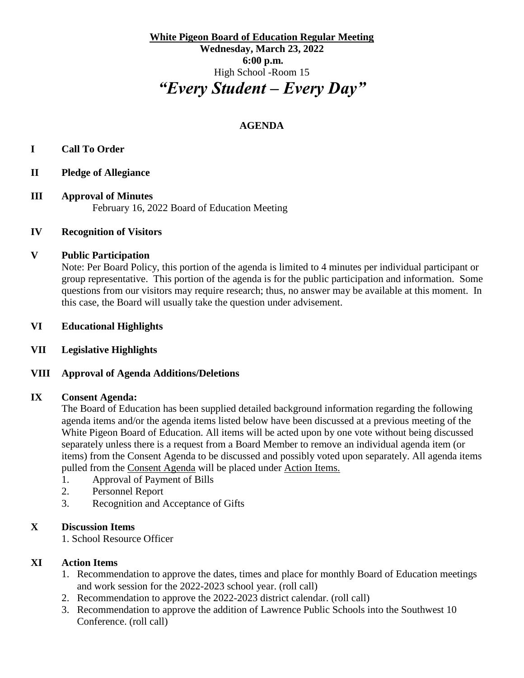**White Pigeon Board of Education Regular Meeting Wednesday, March 23, 2022 6:00 p.m.** High School -Room 15 *"Every Student – Every Day"*

# **AGENDA**

## **I Call To Order**

- **II Pledge of Allegiance**
- **III Approval of Minutes** February 16, 2022 Board of Education Meeting

## **IV Recognition of Visitors**

#### **V Public Participation**

Note: Per Board Policy, this portion of the agenda is limited to 4 minutes per individual participant or group representative. This portion of the agenda is for the public participation and information. Some questions from our visitors may require research; thus, no answer may be available at this moment. In this case, the Board will usually take the question under advisement.

## **VI Educational Highlights**

## **VII Legislative Highlights**

## **VIII Approval of Agenda Additions/Deletions**

#### **IX Consent Agenda:**

The Board of Education has been supplied detailed background information regarding the following agenda items and/or the agenda items listed below have been discussed at a previous meeting of the White Pigeon Board of Education. All items will be acted upon by one vote without being discussed separately unless there is a request from a Board Member to remove an individual agenda item (or items) from the Consent Agenda to be discussed and possibly voted upon separately. All agenda items pulled from the Consent Agenda will be placed under Action Items.

- 1. Approval of Payment of Bills
- 2. Personnel Report
- 3. Recognition and Acceptance of Gifts

## **X Discussion Items**

1. School Resource Officer

## **XI Action Items**

- 1. Recommendation to approve the dates, times and place for monthly Board of Education meetings and work session for the 2022-2023 school year. (roll call)
- 2. Recommendation to approve the 2022-2023 district calendar. (roll call)
- 3. Recommendation to approve the addition of Lawrence Public Schools into the Southwest 10 Conference. (roll call)